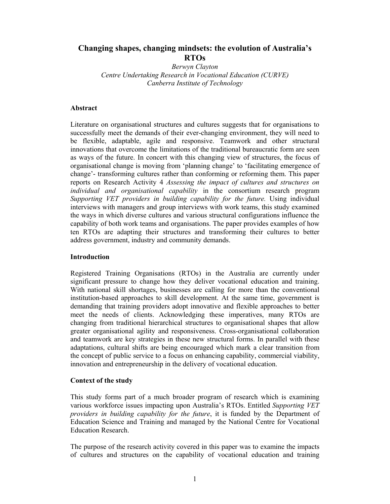# **Changing shapes, changing mindsets: the evolution of Australia's RTOs**

*Berwyn Clayton Centre Undertaking Research in Vocational Education (CURVE) Canberra Institute of Technology* 

### **Abstract**

Literature on organisational structures and cultures suggests that for organisations to successfully meet the demands of their ever-changing environment, they will need to be flexible, adaptable, agile and responsive. Teamwork and other structural innovations that overcome the limitations of the traditional bureaucratic form are seen as ways of the future. In concert with this changing view of structures, the focus of organisational change is moving from 'planning change' to 'facilitating emergence of change'- transforming cultures rather than conforming or reforming them. This paper reports on Research Activity 4 *Assessing the impact of cultures and structures on individual and organisational capability* in the consortium research program *Supporting VET providers in building capability for the future.* Using individual interviews with managers and group interviews with work teams, this study examined the ways in which diverse cultures and various structural configurations influence the capability of both work teams and organisations. The paper provides examples of how ten RTOs are adapting their structures and transforming their cultures to better address government, industry and community demands.

#### **Introduction**

Registered Training Organisations (RTOs) in the Australia are currently under significant pressure to change how they deliver vocational education and training. With national skill shortages, businesses are calling for more than the conventional institution-based approaches to skill development. At the same time, government is demanding that training providers adopt innovative and flexible approaches to better meet the needs of clients. Acknowledging these imperatives, many RTOs are changing from traditional hierarchical structures to organisational shapes that allow greater organisational agility and responsiveness. Cross-organisational collaboration and teamwork are key strategies in these new structural forms. In parallel with these adaptations, cultural shifts are being encouraged which mark a clear transition from the concept of public service to a focus on enhancing capability, commercial viability, innovation and entrepreneurship in the delivery of vocational education.

# **Context of the study**

This study forms part of a much broader program of research which is examining various workforce issues impacting upon Australia's RTOs. Entitled *Supporting VET providers in building capability for the future*, it is funded by the Department of Education Science and Training and managed by the National Centre for Vocational Education Research.

The purpose of the research activity covered in this paper was to examine the impacts of cultures and structures on the capability of vocational education and training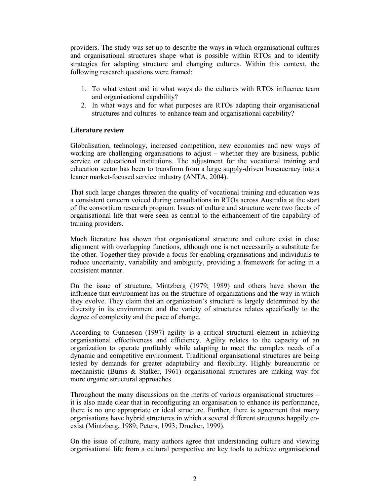providers. The study was set up to describe the ways in which organisational cultures and organisational structures shape what is possible within RTOs and to identify strategies for adapting structure and changing cultures. Within this context, the following research questions were framed:

- 1. To what extent and in what ways do the cultures with RTOs influence team and organisational capability?
- 2. In what ways and for what purposes are RTOs adapting their organisational structures and cultures to enhance team and organisational capability?

# **Literature review**

Globalisation, technology, increased competition, new economies and new ways of working are challenging organisations to adjust – whether they are business, public service or educational institutions. The adjustment for the vocational training and education sector has been to transform from a large supply-driven bureaucracy into a leaner market-focused service industry (ANTA, 2004).

That such large changes threaten the quality of vocational training and education was a consistent concern voiced during consultations in RTOs across Australia at the start of the consortium research program. Issues of culture and structure were two facets of organisational life that were seen as central to the enhancement of the capability of training providers.

Much literature has shown that organisational structure and culture exist in close alignment with overlapping functions, although one is not necessarily a substitute for the other. Together they provide a focus for enabling organisations and individuals to reduce uncertainty, variability and ambiguity, providing a framework for acting in a consistent manner.

On the issue of structure, Mintzberg (1979; 1989) and others have shown the influence that environment has on the structure of organizations and the way in which they evolve. They claim that an organization's structure is largely determined by the diversity in its environment and the variety of structures relates specifically to the degree of complexity and the pace of change.

According to Gunneson (1997) agility is a critical structural element in achieving organisational effectiveness and efficiency. Agility relates to the capacity of an organization to operate profitably while adapting to meet the complex needs of a dynamic and competitive environment. Traditional organisational structures are being tested by demands for greater adaptability and flexibility. Highly bureaucratic or mechanistic (Burns & Stalker, 1961) organisational structures are making way for more organic structural approaches.

Throughout the many discussions on the merits of various organisational structures – it is also made clear that in reconfiguring an organisation to enhance its performance, there is no one appropriate or ideal structure. Further, there is agreement that many organisations have hybrid structures in which a several different structures happily coexist (Mintzberg, 1989; Peters, 1993; Drucker, 1999).

On the issue of culture, many authors agree that understanding culture and viewing organisational life from a cultural perspective are key tools to achieve organisational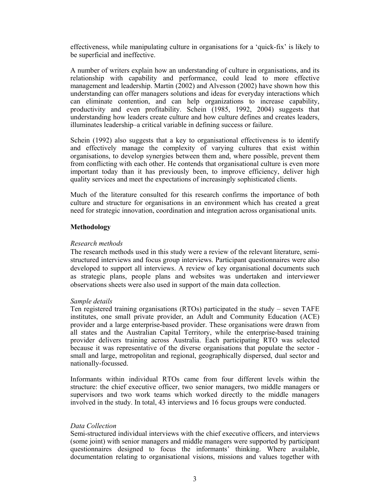effectiveness, while manipulating culture in organisations for a 'quick-fix' is likely to be superficial and ineffective.

A number of writers explain how an understanding of culture in organisations, and its relationship with capability and performance, could lead to more effective management and leadership. Martin (2002) and Alvesson (2002) have shown how this understanding can offer managers solutions and ideas for everyday interactions which can eliminate contention, and can help organizations to increase capability, productivity and even profitability. Schein (1985, 1992, 2004) suggests that understanding how leaders create culture and how culture defines and creates leaders, illuminates leadership–a critical variable in defining success or failure.

Schein (1992) also suggests that a key to organisational effectiveness is to identify and effectively manage the complexity of varying cultures that exist within organisations, to develop synergies between them and, where possible, prevent them from conflicting with each other. He contends that organisational culture is even more important today than it has previously been, to improve efficiency, deliver high quality services and meet the expectations of increasingly sophisticated clients.

Much of the literature consulted for this research confirms the importance of both culture and structure for organisations in an environment which has created a great need for strategic innovation, coordination and integration across organisational units.

# **Methodology**

### *Research methods*

The research methods used in this study were a review of the relevant literature, semistructured interviews and focus group interviews. Participant questionnaires were also developed to support all interviews. A review of key organisational documents such as strategic plans, people plans and websites was undertaken and interviewer observations sheets were also used in support of the main data collection.

# *Sample details*

Ten registered training organisations (RTOs) participated in the study – seven TAFE institutes, one small private provider, an Adult and Community Education (ACE) provider and a large enterprise-based provider. These organisations were drawn from all states and the Australian Capital Territory, while the enterprise-based training provider delivers training across Australia. Each participating RTO was selected because it was representative of the diverse organisations that populate the sector small and large, metropolitan and regional, geographically dispersed, dual sector and nationally-focussed.

Informants within individual RTOs came from four different levels within the structure: the chief executive officer, two senior managers, two middle managers or supervisors and two work teams which worked directly to the middle managers involved in the study. In total, 43 interviews and 16 focus groups were conducted.

#### *Data Collection*

Semi-structured individual interviews with the chief executive officers, and interviews (some joint) with senior managers and middle managers were supported by participant questionnaires designed to focus the informants' thinking. Where available, documentation relating to organisational visions, missions and values together with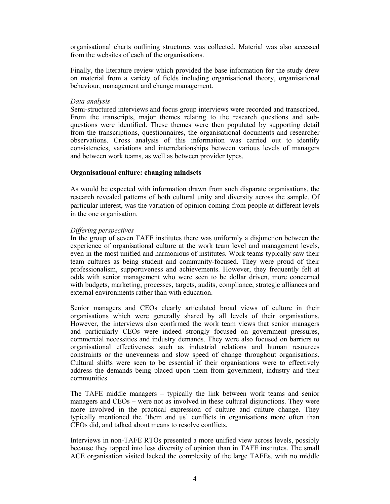organisational charts outlining structures was collected. Material was also accessed from the websites of each of the organisations.

Finally, the literature review which provided the base information for the study drew on material from a variety of fields including organisational theory, organisational behaviour, management and change management.

### *Data analysis*

Semi-structured interviews and focus group interviews were recorded and transcribed. From the transcripts, major themes relating to the research questions and subquestions were identified. These themes were then populated by supporting detail from the transcriptions, questionnaires, the organisational documents and researcher observations. Cross analysis of this information was carried out to identify consistencies, variations and interrelationships between various levels of managers and between work teams, as well as between provider types.

# **Organisational culture: changing mindsets**

As would be expected with information drawn from such disparate organisations, the research revealed patterns of both cultural unity and diversity across the sample. Of particular interest, was the variation of opinion coming from people at different levels in the one organisation.

### *Differing perspectives*

In the group of seven TAFE institutes there was uniformly a disjunction between the experience of organisational culture at the work team level and management levels, even in the most unified and harmonious of institutes. Work teams typically saw their team cultures as being student and community-focused. They were proud of their professionalism, supportiveness and achievements. However, they frequently felt at odds with senior management who were seen to be dollar driven, more concerned with budgets, marketing, processes, targets, audits, compliance, strategic alliances and external environments rather than with education.

Senior managers and CEOs clearly articulated broad views of culture in their organisations which were generally shared by all levels of their organisations. However, the interviews also confirmed the work team views that senior managers and particularly CEOs were indeed strongly focused on government pressures, commercial necessities and industry demands. They were also focused on barriers to organisational effectiveness such as industrial relations and human resources constraints or the unevenness and slow speed of change throughout organisations. Cultural shifts were seen to be essential if their organisations were to effectively address the demands being placed upon them from government, industry and their communities.

The TAFE middle managers – typically the link between work teams and senior managers and CEOs – were not as involved in these cultural disjunctions. They were more involved in the practical expression of culture and culture change. They typically mentioned the 'them and us' conflicts in organisations more often than CEOs did, and talked about means to resolve conflicts.

Interviews in non-TAFE RTOs presented a more unified view across levels, possibly because they tapped into less diversity of opinion than in TAFE institutes. The small ACE organisation visited lacked the complexity of the large TAFEs, with no middle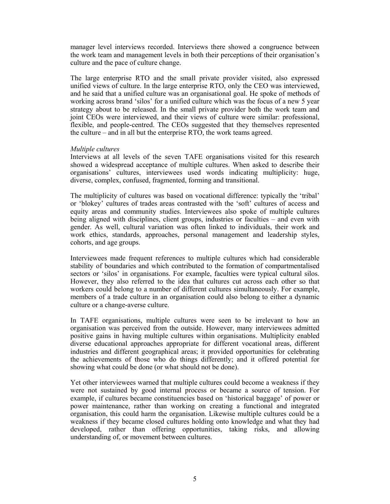manager level interviews recorded. Interviews there showed a congruence between the work team and management levels in both their perceptions of their organisation's culture and the pace of culture change.

The large enterprise RTO and the small private provider visited, also expressed unified views of culture. In the large enterprise RTO, only the CEO was interviewed, and he said that a unified culture was an organisational goal. He spoke of methods of working across brand 'silos' for a unified culture which was the focus of a new 5 year strategy about to be released. In the small private provider both the work team and joint CEOs were interviewed, and their views of culture were similar: professional, flexible, and people-centred. The CEOs suggested that they themselves represented the culture – and in all but the enterprise RTO, the work teams agreed.

### *Multiple cultures*

Interviews at all levels of the seven TAFE organisations visited for this research showed a widespread acceptance of multiple cultures. When asked to describe their organisations' cultures, interviewees used words indicating multiplicity: huge, diverse, complex, confused, fragmented, forming and transitional.

The multiplicity of cultures was based on vocational difference: typically the 'tribal' or 'blokey' cultures of trades areas contrasted with the 'soft' cultures of access and equity areas and community studies. Interviewees also spoke of multiple cultures being aligned with disciplines, client groups, industries or faculties – and even with gender. As well, cultural variation was often linked to individuals, their work and work ethics, standards, approaches, personal management and leadership styles, cohorts, and age groups.

Interviewees made frequent references to multiple cultures which had considerable stability of boundaries and which contributed to the formation of compartmentalised sectors or 'silos' in organisations. For example, faculties were typical cultural silos. However, they also referred to the idea that cultures cut across each other so that workers could belong to a number of different cultures simultaneously. For example, members of a trade culture in an organisation could also belong to either a dynamic culture or a change-averse culture.

In TAFE organisations, multiple cultures were seen to be irrelevant to how an organisation was perceived from the outside. However, many interviewees admitted positive gains in having multiple cultures within organisations. Multiplicity enabled diverse educational approaches appropriate for different vocational areas, different industries and different geographical areas; it provided opportunities for celebrating the achievements of those who do things differently; and it offered potential for showing what could be done (or what should not be done).

Yet other interviewees warned that multiple cultures could become a weakness if they were not sustained by good internal process or became a source of tension. For example, if cultures became constituencies based on 'historical baggage' of power or power maintenance, rather than working on creating a functional and integrated organisation, this could harm the organisation. Likewise multiple cultures could be a weakness if they became closed cultures holding onto knowledge and what they had developed, rather than offering opportunities, taking risks, and allowing understanding of, or movement between cultures.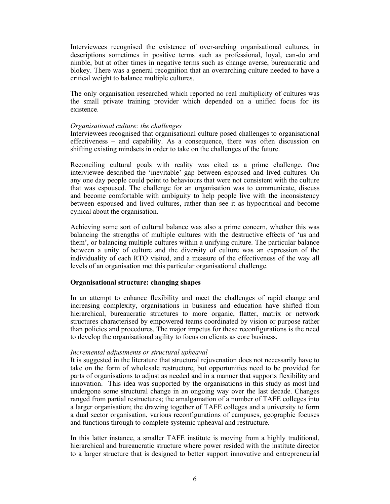Interviewees recognised the existence of over-arching organisational cultures, in descriptions sometimes in positive terms such as professional, loyal, can-do and nimble, but at other times in negative terms such as change averse, bureaucratic and blokey. There was a general recognition that an overarching culture needed to have a critical weight to balance multiple cultures.

The only organisation researched which reported no real multiplicity of cultures was the small private training provider which depended on a unified focus for its existence.

### *Organisational culture: the challenges*

Interviewees recognised that organisational culture posed challenges to organisational effectiveness – and capability. As a consequence, there was often discussion on shifting existing mindsets in order to take on the challenges of the future.

Reconciling cultural goals with reality was cited as a prime challenge. One interviewee described the 'inevitable' gap between espoused and lived cultures. On any one day people could point to behaviours that were not consistent with the culture that was espoused. The challenge for an organisation was to communicate, discuss and become comfortable with ambiguity to help people live with the inconsistency between espoused and lived cultures, rather than see it as hypocritical and become cynical about the organisation.

Achieving some sort of cultural balance was also a prime concern, whether this was balancing the strengths of multiple cultures with the destructive effects of 'us and them', or balancing multiple cultures within a unifying culture. The particular balance between a unity of culture and the diversity of culture was an expression of the individuality of each RTO visited, and a measure of the effectiveness of the way all levels of an organisation met this particular organisational challenge.

# **Organisational structure: changing shapes**

In an attempt to enhance flexibility and meet the challenges of rapid change and increasing complexity, organisations in business and education have shifted from hierarchical, bureaucratic structures to more organic, flatter, matrix or network structures characterised by empowered teams coordinated by vision or purpose rather than policies and procedures. The major impetus for these reconfigurations is the need to develop the organisational agility to focus on clients as core business.

#### *Incremental adjustments or structural upheaval*

It is suggested in the literature that structural rejuvenation does not necessarily have to take on the form of wholesale restructure, but opportunities need to be provided for parts of organisations to adjust as needed and in a manner that supports flexibility and innovation. This idea was supported by the organisations in this study as most had undergone some structural change in an ongoing way over the last decade. Changes ranged from partial restructures; the amalgamation of a number of TAFE colleges into a larger organisation; the drawing together of TAFE colleges and a university to form a dual sector organisation, various reconfigurations of campuses, geographic focuses and functions through to complete systemic upheaval and restructure.

In this latter instance, a smaller TAFE institute is moving from a highly traditional, hierarchical and bureaucratic structure where power resided with the institute director to a larger structure that is designed to better support innovative and entrepreneurial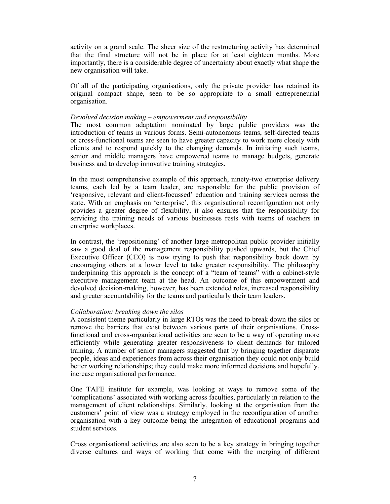activity on a grand scale. The sheer size of the restructuring activity has determined that the final structure will not be in place for at least eighteen months. More importantly, there is a considerable degree of uncertainty about exactly what shape the new organisation will take.

Of all of the participating organisations, only the private provider has retained its original compact shape, seen to be so appropriate to a small entrepreneurial organisation.

### *Devolved decision making – empowerment and responsibility*

The most common adaptation nominated by large public providers was the introduction of teams in various forms. Semi-autonomous teams, self-directed teams or cross-functional teams are seen to have greater capacity to work more closely with clients and to respond quickly to the changing demands. In initiating such teams, senior and middle managers have empowered teams to manage budgets, generate business and to develop innovative training strategies.

In the most comprehensive example of this approach, ninety-two enterprise delivery teams, each led by a team leader, are responsible for the public provision of 'responsive, relevant and client-focussed' education and training services across the state. With an emphasis on 'enterprise', this organisational reconfiguration not only provides a greater degree of flexibility, it also ensures that the responsibility for servicing the training needs of various businesses rests with teams of teachers in enterprise workplaces.

In contrast, the 'repositioning' of another large metropolitan public provider initially saw a good deal of the management responsibility pushed upwards, but the Chief Executive Officer (CEO) is now trying to push that responsibility back down by encouraging others at a lower level to take greater responsibility. The philosophy underpinning this approach is the concept of a "team of teams" with a cabinet-style executive management team at the head. An outcome of this empowerment and devolved decision-making, however, has been extended roles, increased responsibility and greater accountability for the teams and particularly their team leaders.

# *Collaboration: breaking down the silos*

A consistent theme particularly in large RTOs was the need to break down the silos or remove the barriers that exist between various parts of their organisations. Crossfunctional and cross-organisational activities are seen to be a way of operating more efficiently while generating greater responsiveness to client demands for tailored training. A number of senior managers suggested that by bringing together disparate people, ideas and experiences from across their organisation they could not only build better working relationships; they could make more informed decisions and hopefully, increase organisational performance.

One TAFE institute for example, was looking at ways to remove some of the 'complications' associated with working across faculties, particularly in relation to the management of client relationships. Similarly, looking at the organisation from the customers' point of view was a strategy employed in the reconfiguration of another organisation with a key outcome being the integration of educational programs and student services.

Cross organisational activities are also seen to be a key strategy in bringing together diverse cultures and ways of working that come with the merging of different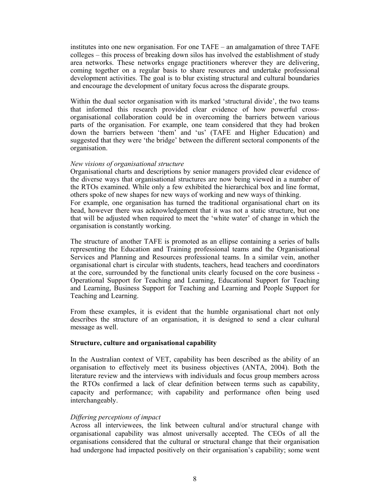institutes into one new organisation. For one TAFE – an amalgamation of three TAFE colleges – this process of breaking down silos has involved the establishment of study area networks. These networks engage practitioners wherever they are delivering, coming together on a regular basis to share resources and undertake professional development activities. The goal is to blur existing structural and cultural boundaries and encourage the development of unitary focus across the disparate groups.

Within the dual sector organisation with its marked 'structural divide', the two teams that informed this research provided clear evidence of how powerful crossorganisational collaboration could be in overcoming the barriers between various parts of the organisation. For example, one team considered that they had broken down the barriers between 'them' and 'us' (TAFE and Higher Education) and suggested that they were 'the bridge' between the different sectoral components of the organisation.

### *New visions of organisational structure*

Organisational charts and descriptions by senior managers provided clear evidence of the diverse ways that organisational structures are now being viewed in a number of the RTOs examined. While only a few exhibited the hierarchical box and line format, others spoke of new shapes for new ways of working and new ways of thinking. For example, one organisation has turned the traditional organisational chart on its head, however there was acknowledgement that it was not a static structure, but one that will be adjusted when required to meet the 'white water' of change in which the organisation is constantly working.

The structure of another TAFE is promoted as an ellipse containing a series of balls representing the Education and Training professional teams and the Organisational Services and Planning and Resources professional teams. In a similar vein, another organisational chart is circular with students, teachers, head teachers and coordinators at the core, surrounded by the functional units clearly focused on the core business - Operational Support for Teaching and Learning, Educational Support for Teaching and Learning, Business Support for Teaching and Learning and People Support for Teaching and Learning.

From these examples, it is evident that the humble organisational chart not only describes the structure of an organisation, it is designed to send a clear cultural message as well.

# **Structure, culture and organisational capability**

In the Australian context of VET, capability has been described as the ability of an organisation to effectively meet its business objectives (ANTA, 2004). Both the literature review and the interviews with individuals and focus group members across the RTOs confirmed a lack of clear definition between terms such as capability, capacity and performance; with capability and performance often being used interchangeably.

# *Differing perceptions of impact*

Across all interviewees, the link between cultural and/or structural change with organisational capability was almost universally accepted. The CEOs of all the organisations considered that the cultural or structural change that their organisation had undergone had impacted positively on their organisation's capability; some went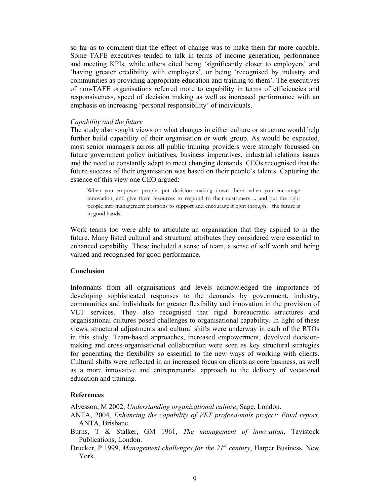so far as to comment that the effect of change was to make them far more capable. Some TAFE executives tended to talk in terms of income generation, performance and meeting KPIs, while others cited being 'significantly closer to employers' and 'having greater credibility with employers', or being 'recognised by industry and communities as providing appropriate education and training to them'. The executives of non-TAFE organisations referred more to capability in terms of efficiencies and responsiveness, speed of decision making as well as increased performance with an emphasis on increasing 'personal responsibility' of individuals.

#### *Capability and the future*

The study also sought views on what changes in either culture or structure would help further build capability of their organisation or work group. As would be expected, most senior managers across all public training providers were strongly focussed on future government policy initiatives, business imperatives, industrial relations issues and the need to constantly adapt to meet changing demands. CEOs recognised that the future success of their organisation was based on their people's talents. Capturing the essence of this view one CEO argued:

When you empower people, put decision making down there, when you encourage innovation, and give them resources to respond to their customers ... and put the right people into management positions to support and encourage it right through…the future is in good hands.

Work teams too were able to articulate an organisation that they aspired to in the future. Many listed cultural and structural attributes they considered were essential to enhanced capability. These included a sense of team, a sense of self worth and being valued and recognised for good performance.

#### **Conclusion**

Informants from all organisations and levels acknowledged the importance of developing sophisticated responses to the demands by government, industry, communities and individuals for greater flexibility and innovation in the provision of VET services. They also recognised that rigid bureaucratic structures and organisational cultures posed challenges to organisational capability. In light of these views, structural adjustments and cultural shifts were underway in each of the RTOs in this study. Team-based approaches, increased empowerment, devolved decisionmaking and cross-organisational collaboration were seen as key structural strategies for generating the flexibility so essential to the new ways of working with clients. Cultural shifts were reflected in an increased focus on clients as core business, as well as a more innovative and entrepreneurial approach to the delivery of vocational education and training.

### **References**

Alvesson, M 2002, *Understanding organizational culture*, Sage, London.

- ANTA, 2004, *Enhancing the capability of VET professionals project: Final report*, ANTA, Brisbane.
- Burns, T & Stalker, GM 1961, *The management of innovation*, Tavistock Publications, London.
- Drucker, P 1999, *Management challenges for the 21st century*, Harper Business, New York.